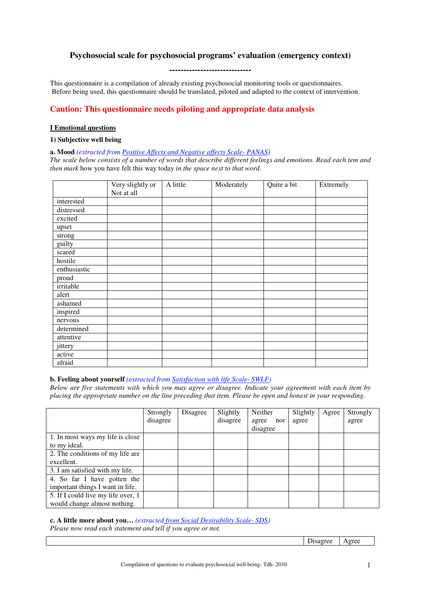## **Psychosocial scale for psychosocial programs' evaluation (emergency context)**

**-----------------------------** 

This questionnaire is a compilation of already existing psychosocial monitoring tools or questionnaires. Before being used, this questionnaire should be translated, piloted and adapted to the context of intervention.

# **Caution: This questionnaire needs piloting and appropriate data analysis**

#### **I Emotional questions**

#### **1) Subjective well being**

**a. Mood** *(extracted from Positive Affects and Negative affects Scale- PANAS)*

*The scale below consists of a number of words that describe different feelings and emotions. Read each tem and then mark* how you have felt this way today *in the space next to that word.* 

|              | Very slightly or | A little | Moderately | Quite a bit | Extremely |
|--------------|------------------|----------|------------|-------------|-----------|
|              | Not at all       |          |            |             |           |
| interested   |                  |          |            |             |           |
| distressed   |                  |          |            |             |           |
| excited      |                  |          |            |             |           |
| upset        |                  |          |            |             |           |
| strong       |                  |          |            |             |           |
| guilty       |                  |          |            |             |           |
| scared       |                  |          |            |             |           |
| hostile      |                  |          |            |             |           |
| enthusiastic |                  |          |            |             |           |
| proud        |                  |          |            |             |           |
| irritable    |                  |          |            |             |           |
| alert        |                  |          |            |             |           |
| ashamed      |                  |          |            |             |           |
| inspired     |                  |          |            |             |           |
| nervous      |                  |          |            |             |           |
| determined   |                  |          |            |             |           |
| attentive    |                  |          |            |             |           |
| jittery      |                  |          |            |             |           |
| active       |                  |          |            |             |           |
| afraid       |                  |          |            |             |           |

### **b. Feeling about yourself** *(extracted from Satisfaction with life Scale- SWLF)*

*Below are five statements with which you may agree or disagree. Indicate your agreement with each item by placing the appropriate number on the line preceding that item. Please be open and honest in your responding.* 

|                                    | Strongly | Disagree | Slightly | Neither      | Slightly | Agree | Strongly |
|------------------------------------|----------|----------|----------|--------------|----------|-------|----------|
|                                    | disagree |          | disagree | agree<br>nor | agree    |       | agree    |
|                                    |          |          |          | disagree     |          |       |          |
| 1. In most ways my life is close   |          |          |          |              |          |       |          |
| to my ideal.                       |          |          |          |              |          |       |          |
| 2. The conditions of my life are   |          |          |          |              |          |       |          |
| excellent.                         |          |          |          |              |          |       |          |
| 3. I am satisfied with my life.    |          |          |          |              |          |       |          |
| 4. So far I have gotten the        |          |          |          |              |          |       |          |
| important things I want in life.   |          |          |          |              |          |       |          |
| 5. If I could live my life over, 1 |          |          |          |              |          |       |          |
| would change almost nothing.       |          |          |          |              |          |       |          |

**c. A little more about you…** *(extracted from Social Desirability Scale- SDS) Please now read each statement and tell if you agree or not.* 

Disagree Agree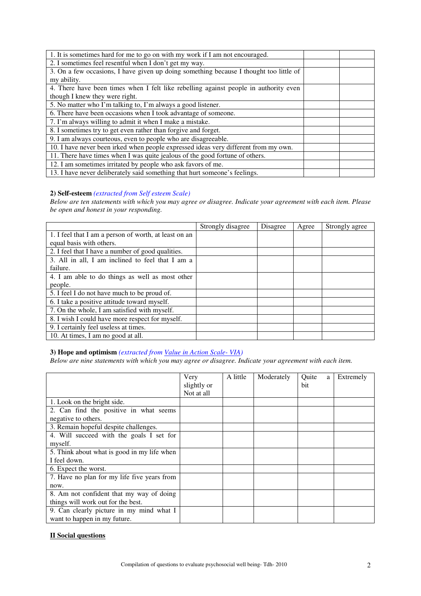| 1. It is sometimes hard for me to go on with my work if I am not encouraged.           |  |
|----------------------------------------------------------------------------------------|--|
| 2. I sometimes feel resentful when I don't get my way.                                 |  |
| 3. On a few occasions, I have given up doing something because I thought too little of |  |
| my ability.                                                                            |  |
| 4. There have been times when I felt like rebelling against people in authority even   |  |
| though I knew they were right.                                                         |  |
| 5. No matter who I'm talking to, I'm always a good listener.                           |  |
| 6. There have been occasions when I took advantage of someone.                         |  |
| 7. I'm always willing to admit it when I make a mistake.                               |  |
| 8. I sometimes try to get even rather than forgive and forget.                         |  |
| 9. I am always courteous, even to people who are disagreeable.                         |  |
| 10. I have never been irked when people expressed ideas very different from my own.    |  |
| 11. There have times when I was quite jealous of the good fortune of others.           |  |
| 12. I am sometimes irritated by people who ask favors of me.                           |  |
| 13. I have never deliberately said something that hurt someone's feelings.             |  |

#### **2) Self-esteem** *(extracted from Self esteem Scale)*

*Below are ten statements with which you may agree or disagree. Indicate your agreement with each item. Please be open and honest in your responding.* 

|                                                       | Strongly disagree | Disagree | Agree | Strongly agree |
|-------------------------------------------------------|-------------------|----------|-------|----------------|
| 1. I feel that I am a person of worth, at least on an |                   |          |       |                |
| equal basis with others.                              |                   |          |       |                |
| 2. I feel that I have a number of good qualities.     |                   |          |       |                |
| 3. All in all, I am inclined to feel that I am a      |                   |          |       |                |
| failure.                                              |                   |          |       |                |
| 4. I am able to do things as well as most other       |                   |          |       |                |
| people.                                               |                   |          |       |                |
| 5. I feel I do not have much to be proud of.          |                   |          |       |                |
| 6. I take a positive attitude toward myself.          |                   |          |       |                |
| 7. On the whole, I am satisfied with myself.          |                   |          |       |                |
| 8. I wish I could have more respect for myself.       |                   |          |       |                |
| 9. I certainly feel useless at times.                 |                   |          |       |                |
| 10. At times, I am no good at all.                    |                   |          |       |                |

### **3) Hope and optimism** *(extracted from Value in Action Scale- VIA)*

*Below are nine statements with which you may agree or disagree. Indicate your agreement with each item.* 

|                                             | Very        | A little | Moderately | Quite<br>a | Extremely |
|---------------------------------------------|-------------|----------|------------|------------|-----------|
|                                             | slightly or |          |            | bit        |           |
|                                             | Not at all  |          |            |            |           |
| 1. Look on the bright side.                 |             |          |            |            |           |
| 2. Can find the positive in what seems      |             |          |            |            |           |
| negative to others.                         |             |          |            |            |           |
| 3. Remain hopeful despite challenges.       |             |          |            |            |           |
| 4. Will succeed with the goals I set for    |             |          |            |            |           |
| myself.                                     |             |          |            |            |           |
| 5. Think about what is good in my life when |             |          |            |            |           |
| I feel down.                                |             |          |            |            |           |
| 6. Expect the worst.                        |             |          |            |            |           |
| 7. Have no plan for my life five years from |             |          |            |            |           |
| now.                                        |             |          |            |            |           |
| 8. Am not confident that my way of doing    |             |          |            |            |           |
| things will work out for the best.          |             |          |            |            |           |
| 9. Can clearly picture in my mind what I    |             |          |            |            |           |
| want to happen in my future.                |             |          |            |            |           |

## **II Social questions**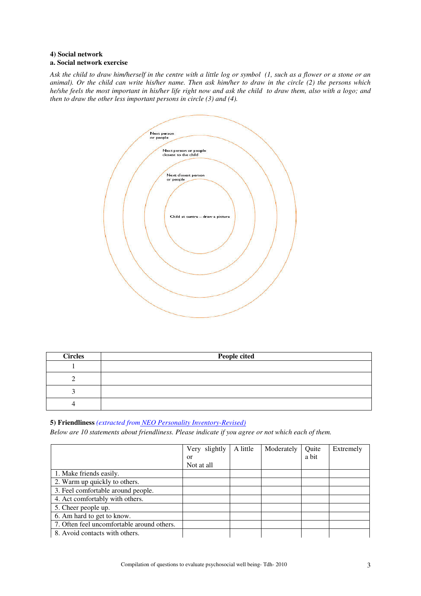#### **4) Social network a. Social network exercise**

*Ask the child to draw him/herself in the centre with a little log or symbol (1, such as a flower or a stone or an animal). Or the child can write his/her name. Then ask him/her to draw in the circle (2) the persons which he/she feels the most important in his/her life right now and ask the child to draw them, also with a logo; and then to draw the other less important persons in circle (3) and (4).*



| <b>Circles</b> | People cited |
|----------------|--------------|
|                |              |
|                |              |
|                |              |
|                |              |

### **5) Friendliness** *(extracted from NEO Personality Inventory-Revised)*

*Below are 10 statements about friendliness. Please indicate if you agree or not which each of them.* 

|                                            | Very slightly<br><sub>or</sub><br>Not at all | A little | Moderately | Ouite<br>a bit | Extremely |
|--------------------------------------------|----------------------------------------------|----------|------------|----------------|-----------|
| 1. Make friends easily.                    |                                              |          |            |                |           |
| 2. Warm up quickly to others.              |                                              |          |            |                |           |
| 3. Feel comfortable around people.         |                                              |          |            |                |           |
| 4. Act comfortably with others.            |                                              |          |            |                |           |
| 5. Cheer people up.                        |                                              |          |            |                |           |
| 6. Am hard to get to know.                 |                                              |          |            |                |           |
| 7. Often feel uncomfortable around others. |                                              |          |            |                |           |
| 8. Avoid contacts with others.             |                                              |          |            |                |           |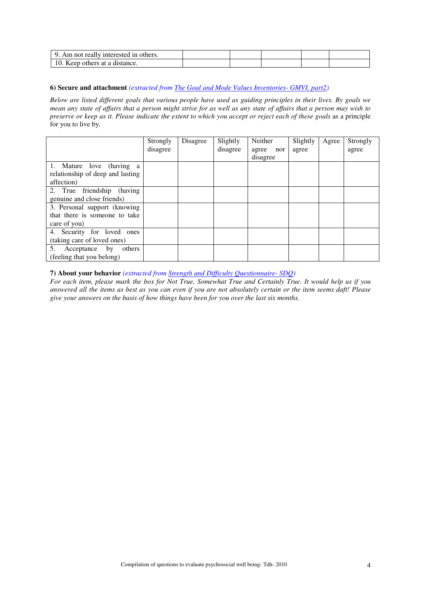| $\mathbf Q$<br>Am not really interested in others. |  |  |  |
|----------------------------------------------------|--|--|--|
| 10. Keep others at a distance.                     |  |  |  |

#### **6) Secure and attachment** *(extracted from The Goal and Mode Values Inventories- GMVI, part2)*

*Below are listed different goals that various people have used as guiding principles in their lives. By goals we mean any state of affairs that a person might strive for as well as any state of affairs that a person may wish to preserve or keep as it. Please indicate the extent to which you accept or reject each of these goals* as a principle for you to live by*.* 

|                                  | Strongly | Disagree | Slightly | Neither   | Slightly | Agree | Strongly |
|----------------------------------|----------|----------|----------|-----------|----------|-------|----------|
|                                  | disagree |          | disagree | agree nor | agree    |       | agree    |
|                                  |          |          |          | disagree  |          |       |          |
| 1. Mature love (having a         |          |          |          |           |          |       |          |
| relationship of deep and lasting |          |          |          |           |          |       |          |
| affection)                       |          |          |          |           |          |       |          |
| 2. True friendship (having       |          |          |          |           |          |       |          |
| genuine and close friends)       |          |          |          |           |          |       |          |
| 3. Personal support (knowing)    |          |          |          |           |          |       |          |
| that there is someone to take    |          |          |          |           |          |       |          |
| care of you)                     |          |          |          |           |          |       |          |
| 4. Security for loved ones       |          |          |          |           |          |       |          |
| (taking care of loved ones)      |          |          |          |           |          |       |          |
| 5. Acceptance by others          |          |          |          |           |          |       |          |
| (feeling that you belong)        |          |          |          |           |          |       |          |

#### **7) About your behavior** *(extracted from Strength and Difficulty Questionnaire- SDQ)*

*For each item, please mark the box for Not True, Somewhat True and Certainly True. It would help us if you answered all the items as best as you can even if you are not absolutely certain or the item seems daft! Please give your answers on the basis of how things have been for you over the last six months.*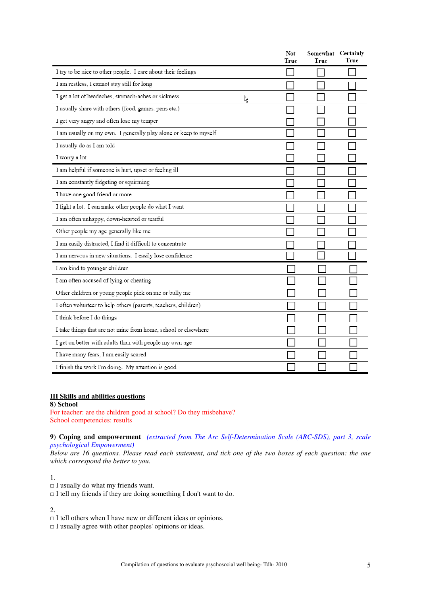|                                                                  | Not<br>True | Somewhat Certainly<br>True | True |
|------------------------------------------------------------------|-------------|----------------------------|------|
| I try to be nice to other people. I care about their feelings    |             |                            |      |
| I am restless, I cannot stay still for long                      |             |                            |      |
| I get a lot of headaches, stomach-aches or sickness<br>ド         |             |                            |      |
| I usually share with others (food, games, pens etc.)             |             |                            |      |
| I get very angry and often lose my temper                        |             |                            |      |
| I am usually on my own. I generally play alone or keep to myself |             |                            |      |
| I usually do as I am told                                        |             |                            |      |
| I wony a lot                                                     |             |                            |      |
| I am helpful if someone is hurt, upset or feeling ill            |             |                            |      |
| I am constantly fidgeting or squirming                           |             |                            |      |
| I have one good friend or more                                   |             |                            |      |
| I fight a lot. I can make other people do what I want            |             |                            |      |
| I am often unhappy, down-hearted or tearful                      |             |                            |      |
| Other people my age generally like me                            |             |                            |      |
| I am easily distracted, I find it difficult to concentrate       |             |                            |      |
| I am nervous in new situations. I easily lose confidence         |             |                            |      |
| I am kind to younger children                                    |             |                            |      |
| I am often accused of lying or cheating                          |             |                            |      |
| Other children or young people pick on me or bully me            |             |                            |      |
| I often volunteer to help others (parents, teachers, children)   |             |                            |      |
| I think before I do things                                       |             |                            |      |
| I take things that are not mine from home, school or elsewhere   |             |                            |      |
| I get on better with adults than with people my own age          |             |                            |      |
| I have many fears, I am easily scared                            |             |                            |      |
| I finish the work I'm doing. My attention is good                |             |                            |      |

#### **III Skills and abilities questions 8) School**

For teacher: are the children good at school? Do they misbehave? School competencies: results

### **9) Coping and empowerment** *(extracted from The Arc Self-Determination Scale (ARC-SDS), part 3, scale psychological Empowerment)*

*Below are 16 questions. Please read each statement, and tick one of the two boxes of each question: the one which correspond the better to you.* 

1.

 $\Box$  I usually do what my friends want.

□ I tell my friends if they are doing something I don't want to do.

2.

□ I tell others when I have new or different ideas or opinions.

 $\Box$  I usually agree with other peoples' opinions or ideas.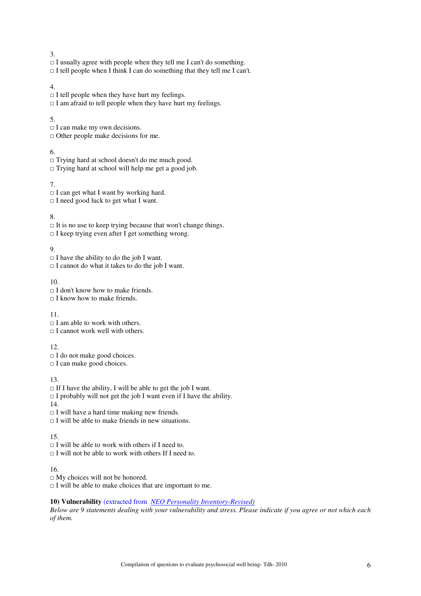3.

 $\Box$  I usually agree with people when they tell me I can't do something.

 $\Box$  I tell people when I think I can do something that they tell me I can't.

#### 4.

 $\Box$  I tell people when they have hurt my feelings.

 $\Box$  I am afraid to tell people when they have hurt my feelings.

### 5.

□ I can make my own decisions.

□ Other people make decisions for me.

### 6.

□ Trying hard at school doesn't do me much good.

 $\Box$  Trying hard at school will help me get a good job.

7.

 $\Box$  I can get what I want by working hard.

 $\Box$  I need good luck to get what I want.

8.

 $\Box$  It is no use to keep trying because that won't change things.

 $\Box$  I keep trying even after I get something wrong.

9.

 $\Box$  I have the ability to do the job I want.

 $\Box$  I cannot do what it takes to do the job I want.

10.

 $\Box$  I don't know how to make friends.

 $\Box$  I know how to make friends.

11.

 $\Box$  I am able to work with others.

 $\Box$  I cannot work well with others.

12.

 $\Box$  I do not make good choices.

 $\Box$  I can make good choices.

13.

 $\Box$  If I have the ability, I will be able to get the job I want.

 $\Box$  I probably will not get the job I want even if I have the ability.

14.

 $\Box$  I will have a hard time making new friends.

 $\Box$  I will be able to make friends in new situations.

15.

 $\Box$  I will be able to work with others if I need to.

□ I will not be able to work with others If I need to.

16.

 $\Box$  My choices will not be honored.

 $\Box$  I will be able to make choices that are important to me.

### **10) Vulnerability** (extracted from *NEO Personality Inventory-Revised)*

*Below are 9 statements dealing with your vulnerability and stress. Please indicate if you agree or not which each of them.*